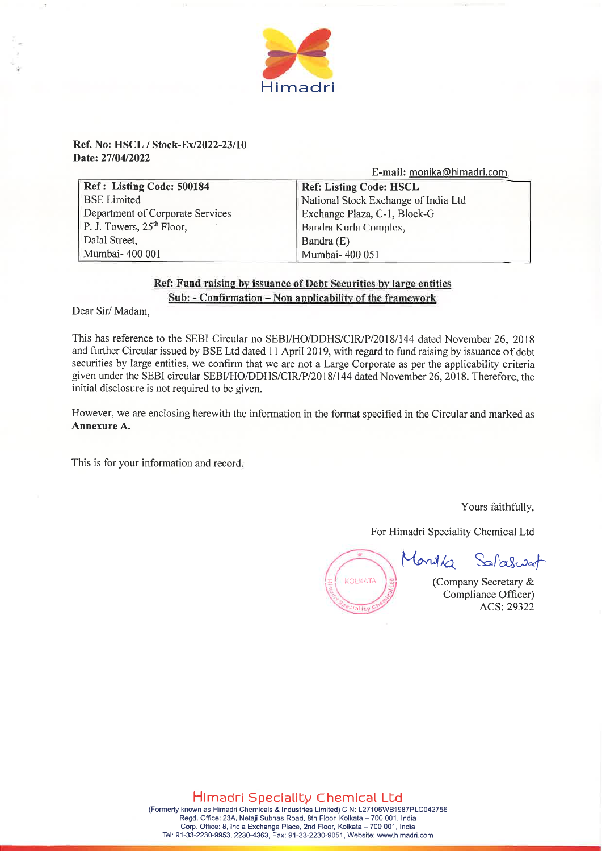

## **Ref. No: HSCL / Stock-Ex/2022-23/10 Date: 27/04/2022**

|  | E-mail: monika@himadri.com |
|--|----------------------------|
|--|----------------------------|

| Ref: Listing Code: 500184        | <b>Ref: Listing Code: HSCL</b>       |
|----------------------------------|--------------------------------------|
| <b>BSE</b> Limited               | National Stock Exchange of India Ltd |
| Department of Corporate Services | Exchange Plaza, C-1, Block-G         |
| P. J. Towers, $25th$ Floor,      | Bandra Kurla Complex,                |
| Dalal Street,                    | Bandra (E)                           |
| Mumbai-400 001                   | Mumbai-400 051                       |

## **Ref: Fund raising by issuance of Debt Securities by large entities Sub: - Confirmation — Non applicability of the framework**

Dear Sir/ Madam,

This has reference to the SEBI Circular no SEBI/HO/DDHS/CIR/P/2018/144 dated November 26, 2018 and further Circular issued by BSE Ltd dated 11 April 2019, with regard to fund raising by issuance of debt securities by large entities, we confirm that we are not a Large Corporate as per the applicability criteria given under the SEBI circular SEBI/HO/DDHS/CIR/P/2018/144 dated November 26, 2018. Therefore, the initial disclosure is not required to be given.

However, we are enclosing herewith the information in the format specified in the Circular and marked as **Annexure A.** 

This is for your information and record.

Yours faithfully,

For Himadri Speciality Chemical Ltd



Monika Salaswat

(Company Secretary & Compliance Officer) ACS: 29322